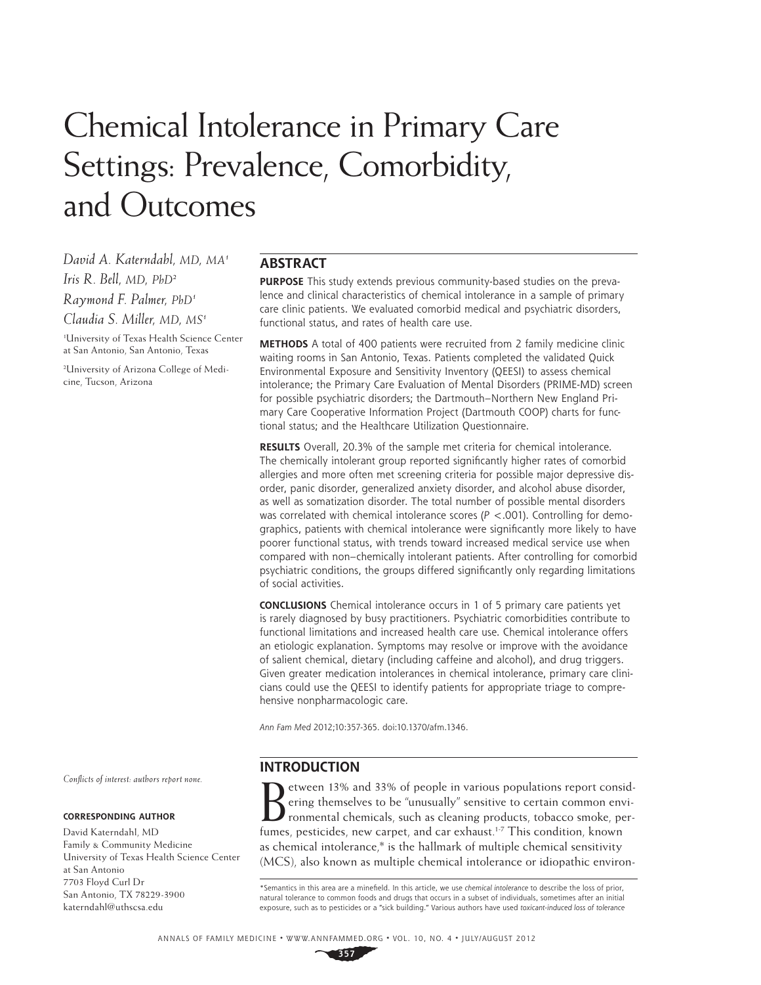# Chemical Intolerance in Primary Care Settings: Prevalence, Comorbidity, and Outcomes

*David A. Katerndahl, MD, MA1 Iris R. Bell, MD, PhD2 Raymond F. Palmer, PhD1 Claudia S. Miller, MD, MS1*

1 University of Texas Health Science Center at San Antonio, San Antonio, Texas

2 University of Arizona College of Medicine, Tucson, Arizona

# **ABSTRACT**

**PURPOSE** This study extends previous community-based studies on the prevalence and clinical characteristics of chemical intolerance in a sample of primary care clinic patients. We evaluated comorbid medical and psychiatric disorders, functional status, and rates of health care use.

**METHODS** A total of 400 patients were recruited from 2 family medicine clinic waiting rooms in San Antonio, Texas. Patients completed the validated Quick Environmental Exposure and Sensitivity Inventory (QEESI) to assess chemical intolerance; the Primary Care Evaluation of Mental Disorders (PRIME-MD) screen for possible psychiatric disorders; the Dartmouth–Northern New England Primary Care Cooperative Information Project (Dartmouth COOP) charts for functional status; and the Healthcare Utilization Questionnaire.

**RESULTS** Overall, 20.3% of the sample met criteria for chemical intolerance. The chemically intolerant group reported significantly higher rates of comorbid allergies and more often met screening criteria for possible major depressive disorder, panic disorder, generalized anxiety disorder, and alcohol abuse disorder, as well as somatization disorder. The total number of possible mental disorders was correlated with chemical intolerance scores ( $P < .001$ ). Controlling for demographics, patients with chemical intolerance were significantly more likely to have poorer functional status, with trends toward increased medical service use when compared with non–chemically intolerant patients. After controlling for comorbid psychiatric conditions, the groups differed significantly only regarding limitations of social activities.

**CONCLUSIONS** Chemical intolerance occurs in 1 of 5 primary care patients yet is rarely diagnosed by busy practitioners. Psychiatric comorbidities contribute to functional limitations and increased health care use. Chemical intolerance offers an etiologic explanation. Symptoms may resolve or improve with the avoidance of salient chemical, dietary (including caffeine and alcohol), and drug triggers. Given greater medication intolerances in chemical intolerance, primary care clinicians could use the QEESI to identify patients for appropriate triage to comprehensive nonpharmacologic care.

Ann Fam Med 2012;10:357-365. doi:10.1370/afm.1346.

# **INTRODUCTION**

B etween 13% and 33% of people in various populations report considering themselves to be "unusually" sensitive to certain common environmental chemicals, such as cleaning products, tobacco smoke, perfumes, pesticides, new carpet, and car exhaust.<sup>1-7</sup> This condition, known as chemical intolerance,\* is the hallmark of multiple chemical sensitivity (MCS), also known as multiple chemical intolerance or idiopathic environ-

\* Semantics in this area are a minefield. In this article, we use chemical intolerance to describe the loss of prior, natural tolerance to common foods and drugs that occurs in a subset of individuals, sometimes after an initial exposure, such as to pesticides or a "sick building." Various authors have used toxicant-induced loss of tolerance

*Confl icts of interest: authors report none.*

#### **CORRESPONDING AUTHOR**

David Katerndahl, MD Family & Community Medicine University of Texas Health Science Center at San Antonio 7703 Floyd Curl Dr San Antonio, TX 78229-3900 katerndahl@uthscsa.edu

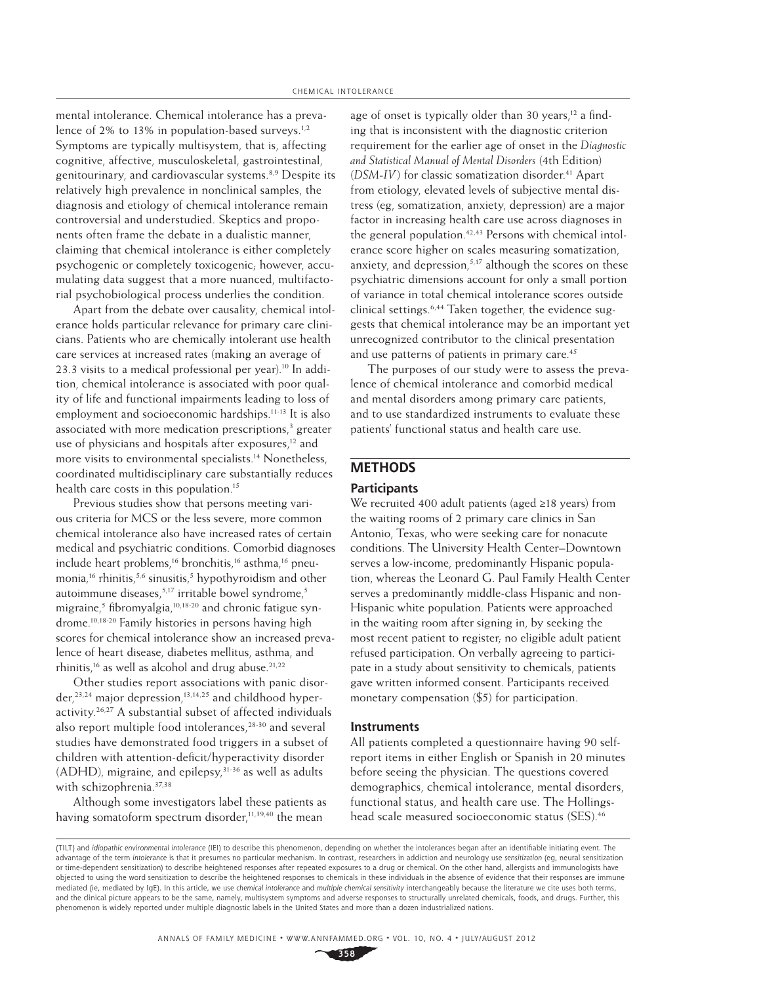mental intolerance. Chemical intolerance has a prevalence of 2% to 13% in population-based surveys.<sup>1,2</sup> Symptoms are typically multisystem, that is, affecting cognitive, affective, musculoskeletal, gastrointestinal, genitourinary, and cardiovascular systems.<sup>8,9</sup> Despite its relatively high prevalence in nonclinical samples, the diagnosis and etiology of chemical intolerance remain controversial and understudied. Skeptics and proponents often frame the debate in a dualistic manner, claiming that chemical intolerance is either completely psychogenic or completely toxicogenic; however, accumulating data suggest that a more nuanced, multifactorial psychobiological process underlies the condition.

Apart from the debate over causality, chemical intolerance holds particular relevance for primary care clinicians. Patients who are chemically intolerant use health care services at increased rates (making an average of 23.3 visits to a medical professional per year).<sup>10</sup> In addition, chemical intolerance is associated with poor quality of life and functional impairments leading to loss of employment and socioeconomic hardships.11-13 It is also associated with more medication prescriptions,<sup>3</sup> greater use of physicians and hospitals after exposures,<sup>12</sup> and more visits to environmental specialists.<sup>14</sup> Nonetheless, coordinated multidisciplinary care substantially reduces health care costs in this population.<sup>15</sup>

Previous studies show that persons meeting various criteria for MCS or the less severe, more common chemical intolerance also have increased rates of certain medical and psychiatric conditions. Comorbid diagnoses include heart problems,<sup>16</sup> bronchitis,<sup>16</sup> asthma,<sup>16</sup> pneumonia,<sup>16</sup> rhinitis,<sup>5,6</sup> sinusitis,<sup>5</sup> hypothyroidism and other autoimmune diseases, $5,17$  irritable bowel syndrome, $5$ migraine,<sup>5</sup> fibromyalgia,<sup>10,18-20</sup> and chronic fatigue syndrome.<sup>10,18-20</sup> Family histories in persons having high scores for chemical intolerance show an increased prevalence of heart disease, diabetes mellitus, asthma, and rhinitis,<sup>16</sup> as well as alcohol and drug abuse.<sup>21,22</sup>

Other studies report associations with panic disorder,<sup>23,24</sup> major depression,<sup>13,14,25</sup> and childhood hyperactivity.26,27 A substantial subset of affected individuals also report multiple food intolerances,<sup>28-30</sup> and several studies have demonstrated food triggers in a subset of children with attention-deficit/hyperactivity disorder  $(ADHD)$ , migraine, and epilepsy,  $31-36$  as well as adults with schizophrenia.<sup>37,38</sup>

Although some investigators label these patients as having somatoform spectrum disorder, $11,39,40$  the mean

age of onset is typically older than 30 years, $12$  a finding that is inconsistent with the diagnostic criterion requirement for the earlier age of onset in the *Diagnostic and Statistical Manual of Mental Disorders* (4th Edition) (*DSM-IV*) for classic somatization disorder.<sup>41</sup> Apart from etiology, elevated levels of subjective mental distress (eg, somatization, anxiety, depression) are a major factor in increasing health care use across diagnoses in the general population.<sup>42,43</sup> Persons with chemical intolerance score higher on scales measuring somatization, anxiety, and depression, $5,17$  although the scores on these psychiatric dimensions account for only a small portion of variance in total chemical intolerance scores outside clinical settings.6,44 Taken together, the evidence suggests that chemical intolerance may be an important yet unrecognized contributor to the clinical presentation and use patterns of patients in primary care.<sup>45</sup>

The purposes of our study were to assess the prevalence of chemical intolerance and comorbid medical and mental disorders among primary care patients, and to use standardized instruments to evaluate these patients' functional status and health care use.

# **METHODS**

### **Participants**

We recruited 400 adult patients (aged ≥18 years) from the waiting rooms of 2 primary care clinics in San Antonio, Texas, who were seeking care for nonacute conditions. The University Health Center–Downtown serves a low-income, predominantly Hispanic population, whereas the Leonard G. Paul Family Health Center serves a predominantly middle-class Hispanic and non-Hispanic white population. Patients were approached in the waiting room after signing in, by seeking the most recent patient to register; no eligible adult patient refused participation. On verbally agreeing to participate in a study about sensitivity to chemicals, patients gave written informed consent. Participants received monetary compensation (\$5) for participation.

#### **Instruments**

All patients completed a questionnaire having 90 selfreport items in either English or Spanish in 20 minutes before seeing the physician. The questions covered demographics, chemical intolerance, mental disorders, functional status, and health care use. The Hollingshead scale measured socioeconomic status (SES).<sup>46</sup>

<sup>(</sup>TILT) and idiopathic environmental intolerance (IEI) to describe this phenomenon, depending on whether the intolerances began after an identifiable initiating event. The advantage of the term intolerance is that it presumes no particular mechanism. In contrast, researchers in addiction and neurology use sensitization (eg, neural sensitization or time-dependent sensitization) to describe heightened responses after repeated exposures to a drug or chemical. On the other hand, allergists and immunologists have objected to using the word sensitization to describe the heightened responses to chemicals in these individuals in the absence of evidence that their responses are immune mediated (ie, mediated by IgE). In this article, we use chemical intolerance and multiple chemical sensitivity interchangeably because the literature we cite uses both terms, and the clinical picture appears to be the same, namely, multisystem symptoms and adverse responses to structurally unrelated chemicals, foods, and drugs. Further, this phenomenon is widely reported under multiple diagnostic labels in the United States and more than a dozen industrialized nations.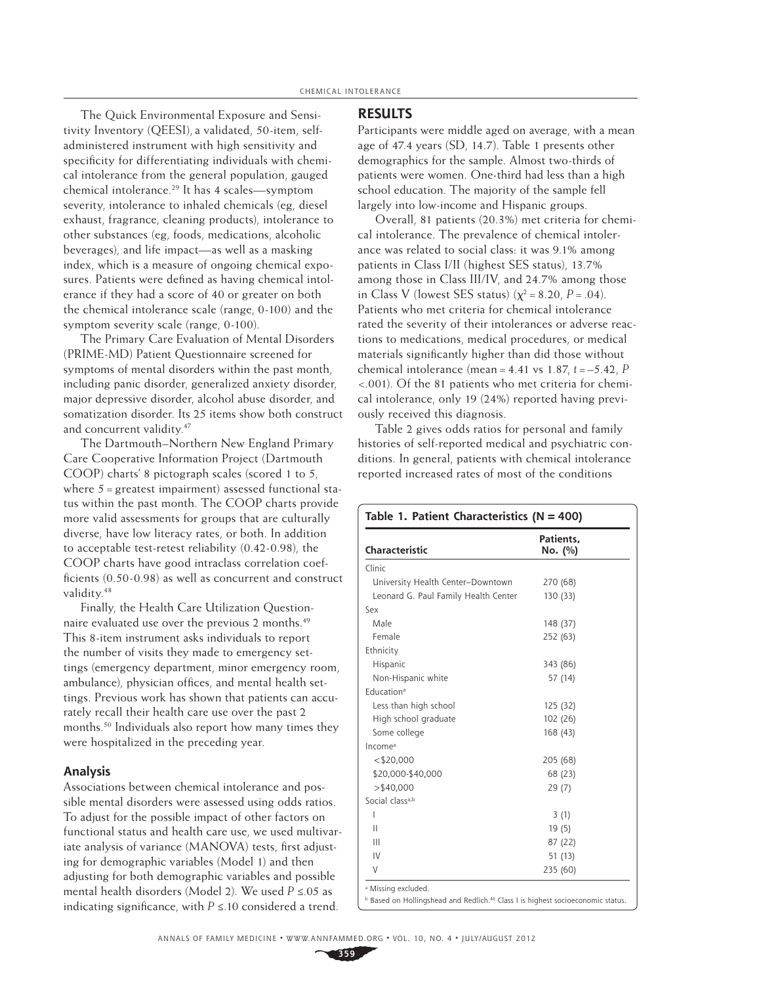**RESULTS**

The Quick Environmental Exposure and Sensitivity Inventory (QEESI), a validated, 50-item, selfadministered instrument with high sensitivity and specificity for differentiating individuals with chemical intolerance from the general population, gauged chemical intolerance.29 It has 4 scales—symptom severity, intolerance to inhaled chemicals (eg, diesel exhaust, fragrance, cleaning products), intolerance to other substances (eg, foods, medications, alcoholic beverages), and life impact—as well as a masking index, which is a measure of ongoing chemical exposures. Patients were defined as having chemical intolerance if they had a score of 40 or greater on both the chemical intolerance scale (range, 0-100) and the symptom severity scale (range, 0-100).

The Primary Care Evaluation of Mental Disorders (PRIME-MD) Patient Questionnaire screened for symptoms of mental disorders within the past month, including panic disorder, generalized anxiety disorder, major depressive disorder, alcohol abuse disorder, and somatization disorder. Its 25 items show both construct and concurrent validity.<sup>47</sup>

The Dartmouth–Northern New England Primary Care Cooperative Information Project (Dartmouth COOP) charts' 8 pictograph scales (scored 1 to 5, where  $5 =$  greatest impairment) assessed functional status within the past month. The COOP charts provide more valid assessments for groups that are culturally diverse, have low literacy rates, or both. In addition to acceptable test-retest reliability (0.42-0.98), the COOP charts have good intraclass correlation coefficients  $(0.50-0.98)$  as well as concurrent and construct validity.48

Finally, the Health Care Utilization Questionnaire evaluated use over the previous 2 months.<sup>49</sup> This 8-item instrument asks individuals to report the number of visits they made to emergency settings (emergency department, minor emergency room, ambulance), physician offices, and mental health settings. Previous work has shown that patients can accurately recall their health care use over the past 2 months.<sup>50</sup> Individuals also report how many times they were hospitalized in the preceding year.

# **Analysis**

Associations between chemical intolerance and possible mental disorders were assessed using odds ratios. To adjust for the possible impact of other factors on functional status and health care use, we used multivariate analysis of variance (MANOVA) tests, first adjusting for demographic variables (Model 1) and then adjusting for both demographic variables and possible mental health disorders (Model 2). We used *P* ≤.05 as indicating significance, with  $P \le 10$  considered a trend.

Participants were middle aged on average, with a mean age of 47.4 years (SD, 14.7). Table 1 presents other demographics for the sample. Almost two-thirds of patients were women. One-third had less than a high school education. The majority of the sample fell largely into low-income and Hispanic groups.

Overall, 81 patients (20.3%) met criteria for chemical intolerance. The prevalence of chemical intolerance was related to social class: it was 9.1% among patients in Class I/II (highest SES status), 13.7% among those in Class III/IV, and 24.7% among those in Class V (lowest SES status)  $(\chi^2 = 8.20, P = .04)$ . Patients who met criteria for chemical intolerance rated the severity of their intolerances or adverse reactions to medications, medical procedures, or medical materials significantly higher than did those without chemical intolerance (mean = 4.41 vs 1.87, *t* = –5.42, *P* <.001). Of the 81 patients who met criteria for chemical intolerance, only 19 (24%) reported having previously received this diagnosis.

Table 2 gives odds ratios for personal and family histories of self-reported medical and psychiatric conditions. In general, patients with chemical intolerance reported increased rates of most of the conditions

| <b>Characteristic</b>                | Patients,<br>No. (%) |  |  |
|--------------------------------------|----------------------|--|--|
| Clinic                               |                      |  |  |
| University Health Center-Downtown    | 270 (68)             |  |  |
| Leonard G. Paul Family Health Center | 130 (33)             |  |  |
| Sex                                  |                      |  |  |
| Male                                 | 148 (37)             |  |  |
| Female                               | 252 (63)             |  |  |
| Ethnicity                            |                      |  |  |
| Hispanic                             | 343 (86)             |  |  |
| Non-Hispanic white                   | 57 (14)              |  |  |
| <b>Education</b> <sup>a</sup>        |                      |  |  |
| Less than high school                | 125 (32)             |  |  |
| High school graduate                 | 102 (26)             |  |  |
| Some college                         | 168 (43)             |  |  |
| Incomea                              |                      |  |  |
| $<$ \$20,000                         | 205 (68)             |  |  |
| \$20,000-\$40,000                    | 68 (23)              |  |  |
| $>$ \$40,000                         | 29 (7)               |  |  |
| Social class <sup>a,b</sup>          |                      |  |  |
| I                                    | 3(1)                 |  |  |
| Ш                                    | 19(5)                |  |  |
| Ш                                    | 87 (22)              |  |  |
| IV                                   | 51 (13)              |  |  |
| V                                    | 235 (60)             |  |  |

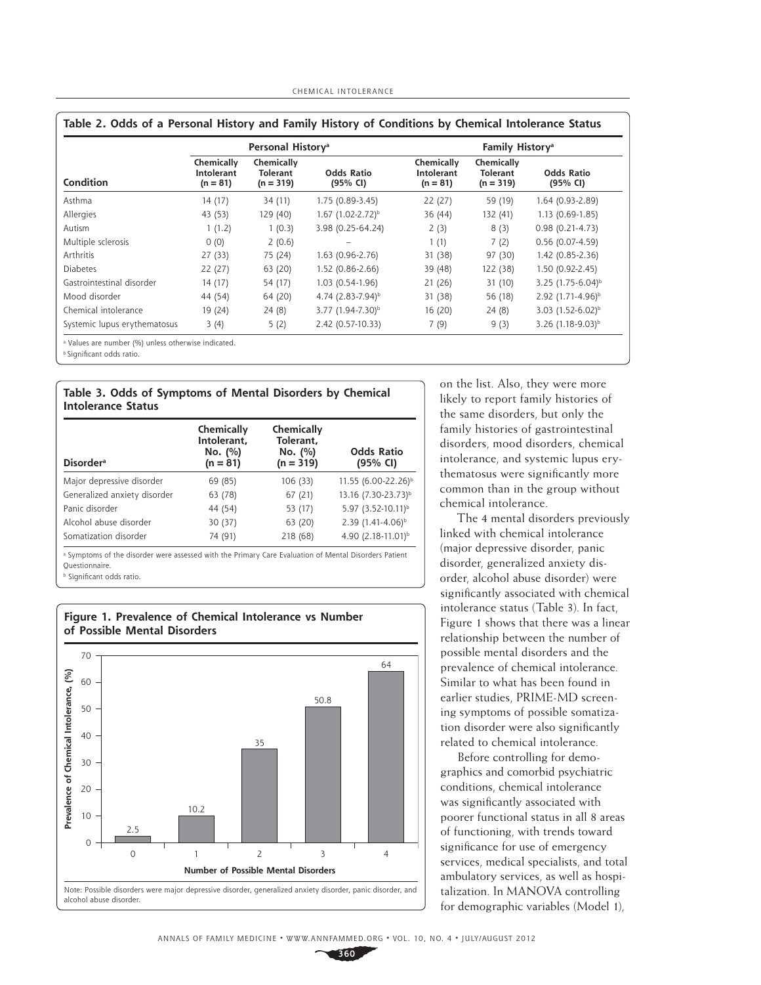|                              |                                        | Personal History <sup>a</sup>         |                                 | Family History <sup>a</sup>            |                                              |                               |
|------------------------------|----------------------------------------|---------------------------------------|---------------------------------|----------------------------------------|----------------------------------------------|-------------------------------|
| Condition                    | Chemically<br>Intolerant<br>$(n = 81)$ | Chemically<br>Tolerant<br>$(n = 319)$ | <b>Odds Ratio</b><br>(95% CI)   | Chemically<br>Intolerant<br>$(n = 81)$ | Chemically<br><b>Tolerant</b><br>$(n = 319)$ | <b>Odds Ratio</b><br>(95% CI) |
| Asthma                       | 14 (17)                                | 34 (11)                               | 1.75 (0.89-3.45)                | 22 (27)                                | 59 (19)                                      | 1.64 (0.93-2.89)              |
| Allergies                    | 43 (53)                                | 129 (40)                              | $1.67$ (1.02-2.72) <sup>b</sup> | 36 (44)                                | 132 (41)                                     | 1.13 (0.69-1.85)              |
| Autism                       | 1(1.2)                                 | 1(0.3)                                | 3.98 (0.25-64.24)               | 2(3)                                   | 8(3)                                         | $0.98(0.21-4.73)$             |
| Multiple sclerosis           | 0(0)                                   | 2(0.6)                                |                                 | 1(1)                                   | 7(2)                                         | $0.56(0.07-4.59)$             |
| Arthritis                    | 27 (33)                                | 75 (24)                               | $1.63(0.96-2.76)$               | 31 (38)                                | 97 (30)                                      | 1.42 (0.85-2.36)              |
| <b>Diabetes</b>              | 22(27)                                 | 63 (20)                               | 1.52 (0.86-2.66)                | 39 (48)                                | 122 (38)                                     | 1.50 (0.92-2.45)              |
| Gastrointestinal disorder    | 14 (17)                                | 54 (17)                               | $1.03(0.54-1.96)$               | 21 (26)                                | 31 (10)                                      | 3.25 $(1.75-6.04)^{b}$        |
| Mood disorder                | 44 (54)                                | 64 (20)                               | 4.74 $(2.83 - 7.94)^b$          | 31 (38)                                | 56 (18)                                      | 2.92 $(1.71-4.96)^b$          |
| Chemical intolerance         | 19 (24)                                | 24 (8)                                | 3.77 (1.94-7.30)b               | 16 (20)                                | 24 (8)                                       | 3.03 $(1.52 - 6.02)^{b}$      |
| Systemic lupus erythematosus | 3(4)                                   | 5(2)                                  | 2.42 (0.57-10.33)               | 7(9)                                   | 9(3)                                         | 3.26 (1.18-9.03) <sup>b</sup> |

Significant odds ratio

# **Table 3. Odds of Symptoms of Mental Disorders by Chemical Intolerance Status**

| <b>Disorder</b> <sup>a</sup> | Chemically<br>Chemically<br>Intolerant,<br>Tolerant,<br>No. (%)<br>No. (%)<br>$(n = 319)$<br>$(n = 81)$ |          | <b>Odds Ratio</b><br>(95% CI)   |  |
|------------------------------|---------------------------------------------------------------------------------------------------------|----------|---------------------------------|--|
| Major depressive disorder    | 69 (85)                                                                                                 | 106 (33) | 11.55 (6.00-22.26) <sup>b</sup> |  |
| Generalized anxiety disorder | 63 (78)                                                                                                 | 67(21)   | 13.16 (7.30-23.73) <sup>b</sup> |  |
| Panic disorder               | 44 (54)                                                                                                 | 53 (17)  | 5.97 (3.52-10.11) <sup>b</sup>  |  |
| Alcohol abuse disorder       | 30 (37)                                                                                                 | 63 (20)  | 2.39 (1.41-4.06) <sup>b</sup>   |  |
| Somatization disorder        | 74 (91)                                                                                                 | 218 (68) | 4.90 (2.18-11.01) <sup>b</sup>  |  |

a Symptoms of the disorder were assessed with the Primary Care Evaluation of Mental Disorders Patient Questionnaire.

**b** Significant odds ratio.



# **Figure 1. Prevalence of Chemical Intolerance vs Number of Possible Mental Disorders**

on the list. Also, they were more likely to report family histories of the same disorders, but only the family histories of gastrointestinal disorders, mood disorders, chemical intolerance, and systemic lupus erythematosus were significantly more common than in the group without chemical intolerance.

The 4 mental disorders previously linked with chemical intolerance (major depressive disorder, panic disorder, generalized anxiety disorder, alcohol abuse disorder) were significantly associated with chemical intolerance status (Table 3). In fact, Figure 1 shows that there was a linear relationship between the number of possible mental disorders and the prevalence of chemical intolerance. Similar to what has been found in earlier studies, PRIME-MD screening symptoms of possible somatization disorder were also significantly related to chemical intolerance.

Before controlling for demographics and comorbid psychiatric conditions, chemical intolerance was significantly associated with poorer functional status in all 8 areas of functioning, with trends toward significance for use of emergency services, medical specialists, and total ambulatory services, as well as hospitalization. In MANOVA controlling for demographic variables (Model 1),

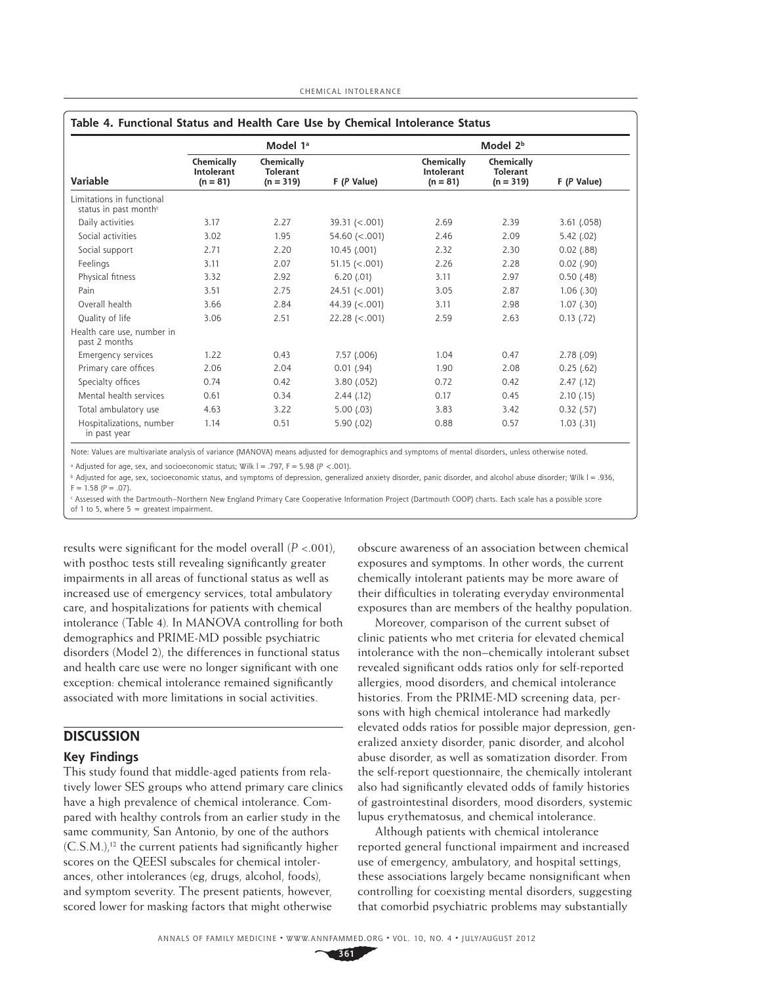| Variable                                                       | Model 1ª                               |                                       |                 |                                        |                                              |              |
|----------------------------------------------------------------|----------------------------------------|---------------------------------------|-----------------|----------------------------------------|----------------------------------------------|--------------|
|                                                                | Chemically<br>Intolerant<br>$(n = 81)$ | Chemically<br>Tolerant<br>$(n = 319)$ | F(P Value)      | Chemically<br>Intolerant<br>$(n = 81)$ | Chemically<br><b>Tolerant</b><br>$(n = 319)$ | F (P Value)  |
| Limitations in functional<br>status in past month <sup>c</sup> |                                        |                                       |                 |                                        |                                              |              |
| Daily activities                                               | 3.17                                   | 2.27                                  | 39.31 (< .001)  | 2.69                                   | 2.39                                         | 3.61 (.058)  |
| Social activities                                              | 3.02                                   | 1.95                                  | 54.60 (< .001)  | 2.46                                   | 2.09                                         | 5.42 (.02)   |
| Social support                                                 | 2.71                                   | 2.20                                  | 10.45 (.001)    | 2.32                                   | 2.30                                         | $0.02$ (.88) |
| Feelings                                                       | 3.11                                   | 2.07                                  | 51.15 (< 0.01   | 2.26                                   | 2.28                                         | $0.02$ (.90) |
| Physical fitness                                               | 3.32                                   | 2.92                                  | 6.20(0.01)      | 3.11                                   | 2.97                                         | 0.50(0.48)   |
| Pain                                                           | 3.51                                   | 2.75                                  | 24.51 (< 0.01   | 3.05                                   | 2.87                                         | $1.06$ (.30) |
| Overall health                                                 | 3.66                                   | 2.84                                  | $44.39$ (<.001) | 3.11                                   | 2.98                                         | 1.07(0.30)   |
| Quality of life                                                | 3.06                                   | 2.51                                  | $22.28$ (<.001) | 2.59                                   | 2.63                                         | 0.13(0.72)   |
| Health care use, number in<br>past 2 months                    |                                        |                                       |                 |                                        |                                              |              |
| <b>Emergency services</b>                                      | 1.22                                   | 0.43                                  | 7.57 (.006)     | 1.04                                   | 0.47                                         | 2.78 (.09)   |
| Primary care offices                                           | 2.06                                   | 2.04                                  | $0.01$ (.94)    | 1.90                                   | 2.08                                         | 0.25(62)     |
| Specialty offices                                              | 0.74                                   | 0.42                                  | 3.80 (.052)     | 0.72                                   | 0.42                                         | 2.47(0.12)   |
| Mental health services                                         | 0.61                                   | 0.34                                  | 2.44(0.12)      | 0.17                                   | 0.45                                         | 2.10(0.15)   |
| Total ambulatory use                                           | 4.63                                   | 3.22                                  | 5.00(0.03)      | 3.83                                   | 3.42                                         | 0.32(.57)    |
| Hospitalizations, number<br>in past year                       | 1.14                                   | 0.51                                  | 5.90(0.02)      | 0.88                                   | 0.57                                         | 1.03(0.31)   |

Note: Values are multivariate analysis of variance (MANOVA) means adjusted for demographics and symptoms of mental disorders, unless otherwise noted.

 $^{\rm a}$  Adjusted for age, sex, and socioeconomic status; Wilk l = .797, F = 5.98 (P  $<$  .001).

b Adjusted for age, sex, socioeconomic status, and symptoms of depression, generalized anxiety disorder, panic disorder, and alcohol abuse disorder; Wilk l = .936,  $F = 1.58$  ( $P = .07$ ).

c Assessed with the Dartmouth–Northern New England Primary Care Cooperative Information Project (Dartmouth COOP) charts. Each scale has a possible score of 1 to 5, where  $5 =$  greatest impairment.

results were significant for the model overall  $(P < .001)$ , with posthoc tests still revealing significantly greater impairments in all areas of functional status as well as increased use of emergency services, total ambulatory care, and hospitalizations for patients with chemical intolerance (Table 4). In MANOVA controlling for both demographics and PRIME-MD possible psychiatric disorders (Model 2), the differences in functional status and health care use were no longer significant with one exception: chemical intolerance remained significantly associated with more limitations in social activities.

# **DISCUSSION**

# **Key Findings**

This study found that middle-aged patients from relatively lower SES groups who attend primary care clinics have a high prevalence of chemical intolerance. Compared with healthy controls from an earlier study in the same community, San Antonio, by one of the authors  $(C.S.M.)$ <sup>12</sup> the current patients had significantly higher scores on the QEESI subscales for chemical intolerances, other intolerances (eg, drugs, alcohol, foods), and symptom severity. The present patients, however, scored lower for masking factors that might otherwise

obscure awareness of an association between chemical exposures and symptoms. In other words, the current chemically intolerant patients may be more aware of their difficulties in tolerating everyday environmental exposures than are members of the healthy population.

Moreover, comparison of the current subset of clinic patients who met criteria for elevated chemical intolerance with the non–chemically intolerant subset revealed significant odds ratios only for self-reported allergies, mood disorders, and chemical intolerance histories. From the PRIME-MD screening data, persons with high chemical intolerance had markedly elevated odds ratios for possible major depression, generalized anxiety disorder, panic disorder, and alcohol abuse disorder, as well as somatization disorder. From the self-report questionnaire, the chemically intolerant also had significantly elevated odds of family histories of gastrointestinal disorders, mood disorders, systemic lupus erythematosus, and chemical intolerance.

Although patients with chemical intolerance reported general functional impairment and increased use of emergency, ambulatory, and hospital settings, these associations largely became nonsignificant when controlling for coexisting mental disorders, suggesting that comorbid psychiatric problems may substantially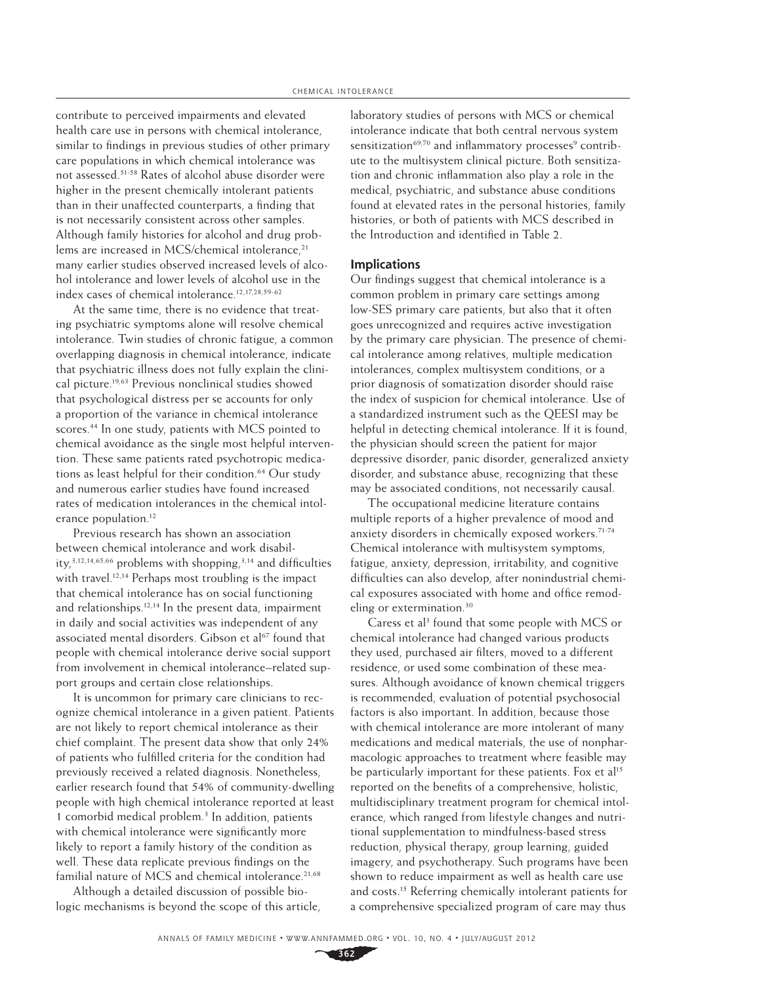contribute to perceived impairments and elevated health care use in persons with chemical intolerance, similar to findings in previous studies of other primary care populations in which chemical intolerance was not assessed.51-58 Rates of alcohol abuse disorder were higher in the present chemically intolerant patients than in their unaffected counterparts, a finding that is not necessarily consistent across other samples. Although family histories for alcohol and drug problems are increased in MCS/chemical intolerance,<sup>21</sup> many earlier studies observed increased levels of alcohol intolerance and lower levels of alcohol use in the index cases of chemical intolerance.<sup>12,17,28,59-62</sup>

At the same time, there is no evidence that treating psychiatric symptoms alone will resolve chemical intolerance. Twin studies of chronic fatigue, a common overlapping diagnosis in chemical intolerance, indicate that psychiatric illness does not fully explain the clinical picture.19,63 Previous nonclinical studies showed that psychological distress per se accounts for only a proportion of the variance in chemical intolerance scores.<sup>44</sup> In one study, patients with MCS pointed to chemical avoidance as the single most helpful intervention. These same patients rated psychotropic medications as least helpful for their condition.<sup>64</sup> Our study and numerous earlier studies have found increased rates of medication intolerances in the chemical intolerance population.<sup>12</sup>

Previous research has shown an association between chemical intolerance and work disability, $3,12,14,65,66$  problems with shopping, $3,14$  and difficulties with travel.<sup>12,14</sup> Perhaps most troubling is the impact that chemical intolerance has on social functioning and relationships.<sup>12,14</sup> In the present data, impairment in daily and social activities was independent of any associated mental disorders. Gibson et al<sup>67</sup> found that people with chemical intolerance derive social support from involvement in chemical intolerance–related support groups and certain close relationships.

It is uncommon for primary care clinicians to recognize chemical intolerance in a given patient. Patients are not likely to report chemical intolerance as their chief complaint. The present data show that only 24% of patients who fulfilled criteria for the condition had previously received a related diagnosis. Nonetheless, earlier research found that 54% of community-dwelling people with high chemical intolerance reported at least 1 comorbid medical problem.<sup>3</sup> In addition, patients with chemical intolerance were significantly more likely to report a family history of the condition as well. These data replicate previous findings on the familial nature of MCS and chemical intolerance.<sup>21,68</sup>

Although a detailed discussion of possible biologic mechanisms is beyond the scope of this article, laboratory studies of persons with MCS or chemical intolerance indicate that both central nervous system sensitization $^{69,70}$  and inflammatory processes $^9$  contribute to the multisystem clinical picture. Both sensitization and chronic inflammation also play a role in the medical, psychiatric, and substance abuse conditions found at elevated rates in the personal histories, family histories, or both of patients with MCS described in the Introduction and identified in Table 2.

#### **Implications**

Our findings suggest that chemical intolerance is a common problem in primary care settings among low-SES primary care patients, but also that it often goes unrecognized and requires active investigation by the primary care physician. The presence of chemical intolerance among relatives, multiple medication intolerances, complex multisystem conditions, or a prior diagnosis of somatization disorder should raise the index of suspicion for chemical intolerance. Use of a standardized instrument such as the QEESI may be helpful in detecting chemical intolerance. If it is found, the physician should screen the patient for major depressive disorder, panic disorder, generalized anxiety disorder, and substance abuse, recognizing that these may be associated conditions, not necessarily causal.

The occupational medicine literature contains multiple reports of a higher prevalence of mood and anxiety disorders in chemically exposed workers.<sup>71-74</sup> Chemical intolerance with multisystem symptoms, fatigue, anxiety, depression, irritability, and cognitive difficulties can also develop, after nonindustrial chemical exposures associated with home and office remodeling or extermination.30

Caress et al<sup>3</sup> found that some people with MCS or chemical intolerance had changed various products they used, purchased air filters, moved to a different residence, or used some combination of these measures. Although avoidance of known chemical triggers is recommended, evaluation of potential psychosocial factors is also important. In addition, because those with chemical intolerance are more intolerant of many medications and medical materials, the use of nonpharmacologic approaches to treatment where feasible may be particularly important for these patients. Fox et al<sup>15</sup> reported on the benefits of a comprehensive, holistic, multidisciplinary treatment program for chemical intolerance, which ranged from lifestyle changes and nutritional supplementation to mindfulness-based stress reduction, physical therapy, group learning, guided imagery, and psychotherapy. Such programs have been shown to reduce impairment as well as health care use and costs.15 Referring chemically intolerant patients for a comprehensive specialized program of care may thus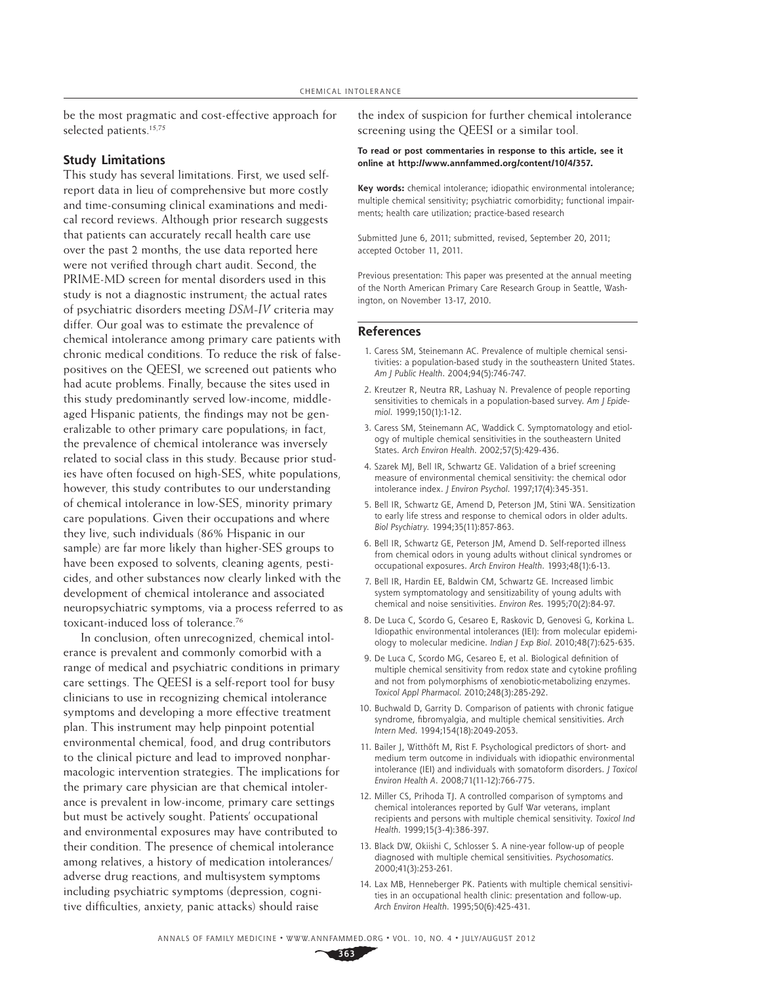be the most pragmatic and cost-effective approach for selected patients.<sup>15,75</sup>

## **Study Limitations**

This study has several limitations. First, we used selfreport data in lieu of comprehensive but more costly and time-consuming clinical examinations and medical record reviews. Although prior research suggests that patients can accurately recall health care use over the past 2 months, the use data reported here were not verified through chart audit. Second, the PRIME-MD screen for mental disorders used in this study is not a diagnostic instrument; the actual rates of psychiatric disorders meeting *DSM-IV* criteria may differ. Our goal was to estimate the prevalence of chemical intolerance among primary care patients with chronic medical conditions. To reduce the risk of falsepositives on the QEESI, we screened out patients who had acute problems. Finally, because the sites used in this study predominantly served low-income, middleaged Hispanic patients, the findings may not be generalizable to other primary care populations; in fact, the prevalence of chemical intolerance was inversely related to social class in this study. Because prior studies have often focused on high-SES, white populations, however, this study contributes to our understanding of chemical intolerance in low-SES, minority primary care populations. Given their occupations and where they live, such individuals (86% Hispanic in our sample) are far more likely than higher-SES groups to have been exposed to solvents, cleaning agents, pesticides, and other substances now clearly linked with the development of chemical intolerance and associated neuropsychiatric symptoms, via a process referred to as toxicant-induced loss of tolerance.76

In conclusion, often unrecognized, chemical intolerance is prevalent and commonly comorbid with a range of medical and psychiatric conditions in primary care settings. The QEESI is a self-report tool for busy clinicians to use in recognizing chemical intolerance symptoms and developing a more effective treatment plan. This instrument may help pinpoint potential environmental chemical, food, and drug contributors to the clinical picture and lead to improved nonpharmacologic intervention strategies. The implications for the primary care physician are that chemical intolerance is prevalent in low-income, primary care settings but must be actively sought. Patients' occupational and environmental exposures may have contributed to their condition. The presence of chemical intolerance among relatives, a history of medication intolerances/ adverse drug reactions, and multisystem symptoms including psychiatric symptoms (depression, cognitive difficulties, anxiety, panic attacks) should raise

the index of suspicion for further chemical intolerance screening using the QEESI or a similar tool.

#### **To read or post commentaries in response to this article, see it online at http://www.annfammed.org/content/10/4/357.**

**Key words:** chemical intolerance; idiopathic environmental intolerance; multiple chemical sensitivity; psychiatric comorbidity; functional impairments; health care utilization; practice-based research

Submitted June 6, 2011; submitted, revised, September 20, 2011; accepted October 11, 2011.

Previous presentation: This paper was presented at the annual meeting of the North American Primary Care Research Group in Seattle, Washington, on November 13-17, 2010.

### **References**

- 1. Caress SM, Steinemann AC. Prevalence of multiple chemical sensitivities: a population-based study in the southeastern United States. Am J Public Health. 2004;94(5):746-747.
- 2. Kreutzer R, Neutra RR, Lashuay N. Prevalence of people reporting sensitivities to chemicals in a population-based survey. Am J Epidemiol. 1999;150(1):1-12.
- 3. Caress SM, Steinemann AC, Waddick C. Symptomatology and etiology of multiple chemical sensitivities in the southeastern United States. Arch Environ Health. 2002;57(5):429-436.
- 4. Szarek MJ, Bell IR, Schwartz GE. Validation of a brief screening measure of environmental chemical sensitivity: the chemical odor intolerance index. J Environ Psychol. 1997;17(4):345-351.
- 5. Bell IR, Schwartz GE, Amend D, Peterson JM, Stini WA. Sensitization to early life stress and response to chemical odors in older adults. Biol Psychiatry. 1994;35(11):857-863.
- 6. Bell IR, Schwartz GE, Peterson JM, Amend D. Self-reported illness from chemical odors in young adults without clinical syndromes or occupational exposures. Arch Environ Health. 1993;48(1):6-13.
- 7. Bell IR, Hardin EE, Baldwin CM, Schwartz GE. Increased limbic system symptomatology and sensitizability of young adults with chemical and noise sensitivities. Environ Res. 1995;70(2):84-97.
- 8. De Luca C, Scordo G, Cesareo E, Raskovic D, Genovesi G, Korkina L. Idiopathic environmental intolerances (IEI): from molecular epidemiology to molecular medicine. Indian J Exp Biol. 2010;48(7):625-635.
- 9. De Luca C, Scordo MG, Cesareo E, et al. Biological definition of multiple chemical sensitivity from redox state and cytokine profiling and not from polymorphisms of xenobiotic-metabolizing enzymes. Toxicol Appl Pharmacol. 2010;248(3):285-292.
- 10. Buchwald D, Garrity D. Comparison of patients with chronic fatigue syndrome, fibromyalgia, and multiple chemical sensitivities. Arch Intern Med. 1994;154(18):2049-2053.
- 11. Bailer J, Witthöft M, Rist F. Psychological predictors of short- and medium term outcome in individuals with idiopathic environmental intolerance (IEI) and individuals with somatoform disorders. J Toxicol Environ Health A. 2008;71(11-12):766-775.
- 12. Miller CS, Prihoda TJ. A controlled comparison of symptoms and chemical intolerances reported by Gulf War veterans, implant recipients and persons with multiple chemical sensitivity. Toxicol Ind Health. 1999;15(3-4):386-397.
- 13. Black DW, Okiishi C, Schlosser S. A nine-year follow-up of people diagnosed with multiple chemical sensitivities. Psychosomatics. 2000;41(3):253-261.
- 14. Lax MB, Henneberger PK. Patients with multiple chemical sensitivities in an occupational health clinic: presentation and follow-up. Arch Environ Health. 1995;50(6):425-431.

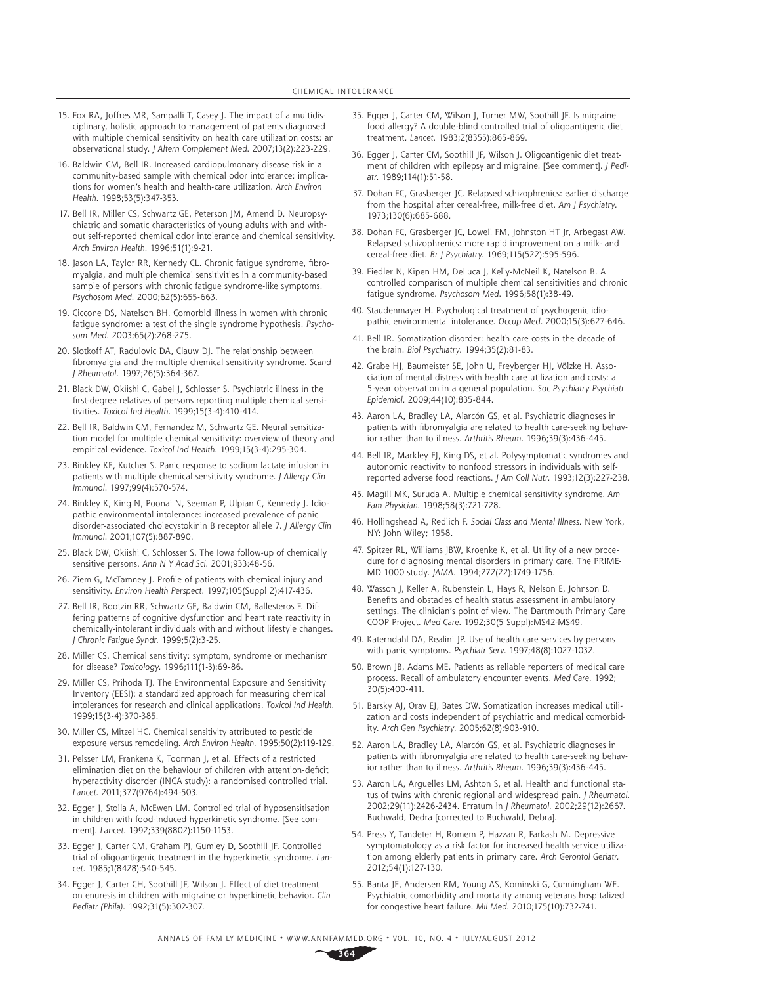- 15. Fox RA, Joffres MR, Sampalli T, Casey J. The impact of a multidisciplinary, holistic approach to management of patients diagnosed with multiple chemical sensitivity on health care utilization costs: an observational study. J Altern Complement Med. 2007;13(2):223-229.
- 16. Baldwin CM, Bell IR. Increased cardiopulmonary disease risk in a community-based sample with chemical odor intolerance: implications for women's health and health-care utilization. Arch Environ Health. 1998;53(5):347-353.
- 17. Bell IR, Miller CS, Schwartz GE, Peterson JM, Amend D. Neuropsychiatric and somatic characteristics of young adults with and without self-reported chemical odor intolerance and chemical sensitivity. Arch Environ Health. 1996;51(1):9-21.
- 18. Jason LA, Taylor RR, Kennedy CL. Chronic fatigue syndrome, fibromyalgia, and multiple chemical sensitivities in a community-based sample of persons with chronic fatigue syndrome-like symptoms. Psychosom Med. 2000;62(5):655-663.
- 19. Ciccone DS, Natelson BH. Comorbid illness in women with chronic fatigue syndrome: a test of the single syndrome hypothesis. Psychosom Med. 2003;65(2):268-275.
- 20. Slotkoff AT, Radulovic DA, Clauw DJ. The relationship between fibromyalgia and the multiple chemical sensitivity syndrome. Scand J Rheumatol. 1997;26(5):364-367.
- 21. Black DW, Okiishi C, Gabel J, Schlosser S. Psychiatric illness in the first-degree relatives of persons reporting multiple chemical sensitivities. Toxicol Ind Health. 1999;15(3-4):410-414.
- 22. Bell IR, Baldwin CM, Fernandez M, Schwartz GE. Neural sensitization model for multiple chemical sensitivity: overview of theory and empirical evidence. Toxicol Ind Health. 1999;15(3-4):295-304.
- 23. Binkley KE, Kutcher S. Panic response to sodium lactate infusion in patients with multiple chemical sensitivity syndrome. J Allergy Clin Immunol. 1997;99(4):570-574.
- 24. Binkley K, King N, Poonai N, Seeman P, Ulpian C, Kennedy J. Idiopathic environmental intolerance: increased prevalence of panic disorder-associated cholecystokinin B receptor allele 7. J Allergy Clin Immunol. 2001;107(5):887-890.
- 25. Black DW, Okiishi C, Schlosser S. The Iowa follow-up of chemically sensitive persons. Ann N Y Acad Sci. 2001;933:48-56.
- 26. Ziem G, McTamney J. Profile of patients with chemical injury and sensitivity. Environ Health Perspect. 1997;105(Suppl 2):417-436.
- 27. Bell IR, Bootzin RR, Schwartz GE, Baldwin CM, Ballesteros F. Differing patterns of cognitive dysfunction and heart rate reactivity in chemically-intolerant individuals with and without lifestyle changes. J Chronic Fatigue Syndr. 1999;5(2):3-25.
- 28. Miller CS. Chemical sensitivity: symptom, syndrome or mechanism for disease? Toxicology. 1996;111(1-3):69-86.
- 29. Miller CS, Prihoda TJ. The Environmental Exposure and Sensitivity Inventory (EESI): a standardized approach for measuring chemical intolerances for research and clinical applications. Toxicol Ind Health. 1999;15(3-4):370-385.
- 30. Miller CS, Mitzel HC. Chemical sensitivity attributed to pesticide exposure versus remodeling. Arch Environ Health. 1995;50(2):119-129.
- 31. Pelsser LM, Frankena K, Toorman J, et al. Effects of a restricted elimination diet on the behaviour of children with attention-deficit hyperactivity disorder (INCA study): a randomised controlled trial. Lancet. 2011;377(9764):494-503.
- 32. Egger J, Stolla A, McEwen LM. Controlled trial of hyposensitisation in children with food-induced hyperkinetic syndrome. [See comment]. Lancet. 1992;339(8802):1150-1153.
- 33. Egger J, Carter CM, Graham PJ, Gumley D, Soothill JF. Controlled trial of oligoantigenic treatment in the hyperkinetic syndrome. Lancet. 1985;1(8428):540-545.
- 34. Egger J, Carter CH, Soothill JF, Wilson J. Effect of diet treatment on enuresis in children with migraine or hyperkinetic behavior. Clin Pediatr (Phila). 1992;31(5):302-307.
- 35. Egger J, Carter CM, Wilson J, Turner MW, Soothill JF. Is migraine food allergy? A double-blind controlled trial of oligoantigenic diet treatment. Lancet. 1983;2(8355):865-869.
- 36. Egger J, Carter CM, Soothill JF, Wilson J. Oligoantigenic diet treatment of children with epilepsy and migraine. [See comment]. J Pediatr. 1989;114(1):51-58.
- 37. Dohan FC, Grasberger JC. Relapsed schizophrenics: earlier discharge from the hospital after cereal-free, milk-free diet. Am J Psychiatry. 1973;130(6):685-688.
- 38. Dohan FC, Grasberger JC, Lowell FM, Johnston HT Jr, Arbegast AW. Relapsed schizophrenics: more rapid improvement on a milk- and cereal-free diet. Br J Psychiatry. 1969;115(522):595-596.
- 39. Fiedler N, Kipen HM, DeLuca J, Kelly-McNeil K, Natelson B. A controlled comparison of multiple chemical sensitivities and chronic fatigue syndrome. Psychosom Med. 1996;58(1):38-49.
- 40. Staudenmayer H. Psychological treatment of psychogenic idiopathic environmental intolerance. Occup Med. 2000;15(3):627-646.
- 41. Bell IR. Somatization disorder: health care costs in the decade of the brain. Biol Psychiatry. 1994;35(2):81-83.
- 42. Grabe HJ, Baumeister SE, John U, Freyberger HJ, Völzke H. Association of mental distress with health care utilization and costs: a 5-year observation in a general population. Soc Psychiatry Psychiatr Epidemiol. 2009;44(10):835-844.
- 43. Aaron LA, Bradley LA, Alarcón GS, et al. Psychiatric diagnoses in patients with fibromyalgia are related to health care-seeking behavior rather than to illness. Arthritis Rheum. 1996;39(3):436-445.
- 44. Bell IR, Markley EJ, King DS, et al. Polysymptomatic syndromes and autonomic reactivity to nonfood stressors in individuals with selfreported adverse food reactions. J Am Coll Nutr. 1993;12(3):227-238.
- 45. Magill MK, Suruda A. Multiple chemical sensitivity syndrome. Am Fam Physician. 1998;58(3):721-728.
- 46. Hollingshead A, Redlich F. Social Class and Mental Illness. New York, NY: John Wiley; 1958.
- 47. Spitzer RL, Williams JBW, Kroenke K, et al. Utility of a new procedure for diagnosing mental disorders in primary care. The PRIME-MD 1000 study. JAMA. 1994;272(22):1749-1756.
- 48. Wasson J, Keller A, Rubenstein L, Hays R, Nelson E, Johnson D. Benefits and obstacles of health status assessment in ambulatory settings. The clinician's point of view. The Dartmouth Primary Care COOP Project. Med Care. 1992;30(5 Suppl):MS42-MS49.
- 49. Katerndahl DA, Realini JP. Use of health care services by persons with panic symptoms. Psychiatr Serv. 1997;48(8):1027-1032.
- 50. Brown JB, Adams ME. Patients as reliable reporters of medical care process. Recall of ambulatory encounter events. Med Care. 1992; 30(5):400-411.
- 51. Barsky AJ, Orav EJ, Bates DW. Somatization increases medical utilization and costs independent of psychiatric and medical comorbidity. Arch Gen Psychiatry. 2005;62(8):903-910.
- 52. Aaron LA, Bradley LA, Alarcón GS, et al. Psychiatric diagnoses in patients with fibromyalgia are related to health care-seeking behavior rather than to illness. Arthritis Rheum. 1996;39(3):436-445.
- 53. Aaron LA, Arguelles LM, Ashton S, et al. Health and functional status of twins with chronic regional and widespread pain. J Rheumatol. 2002;29(11):2426-2434. Erratum in J Rheumatol. 2002;29(12):2667. Buchwald, Dedra [corrected to Buchwald, Debra].
- 54. Press Y, Tandeter H, Romem P, Hazzan R, Farkash M. Depressive symptomatology as a risk factor for increased health service utilization among elderly patients in primary care. Arch Gerontol Geriatr. 2012;54(1):127-130.
- 55. Banta JE, Andersen RM, Young AS, Kominski G, Cunningham WE. Psychiatric comorbidity and mortality among veterans hospitalized for congestive heart failure. Mil Med. 2010;175(10):732-741.